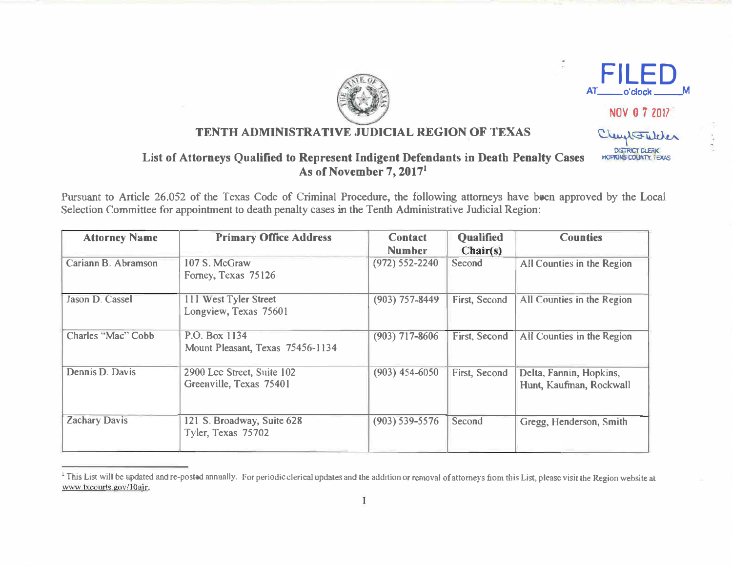



 $\ddot{\phantom{0}}$ 

NOV 0 7 2017

Clembertalcher

DISTRICT CLERK **HOPRINS COUNTY, TEXAS** 

## TENTH ADMINISTRATIVE JUDICIAL REGION OF TEXAS

## List of Attorneys Qualified to Represent Indigent Defendants in Death Penalty Cases As of November 7, 20171

Pursuant to Article 26.052 of the Texas Code of Criminal Procedure, the following attorneys have been approved by the Local Selection Committee for appointment to death penalty cases in the Tenth Administrative Judicial Region:

| <b>Attorney Name</b> | <b>Primary Office Address</b>    | <b>Contact</b>     | <b>Qualified</b> | <b>Counties</b>            |
|----------------------|----------------------------------|--------------------|------------------|----------------------------|
|                      |                                  | <b>Number</b>      | Chair(s)         |                            |
| Cariann B. Abramson  | 107 S. McGraw                    | $(972) 552 - 2240$ | Second           | All Counties in the Region |
|                      | Forney, Texas 75126              |                    |                  |                            |
| Jason D. Cassel      | 111 West Tyler Street            | $(903) 757 - 8449$ | First, Second    | All Counties in the Region |
|                      | Longview, Texas 75601            |                    |                  |                            |
| Charles "Mac" Cobb   | P.O. Box 1134                    | $(903)$ 717-8606   | First, Second    | All Counties in the Region |
|                      | Mount Pleasant, Texas 75456-1134 |                    |                  |                            |
| Dennis D. Davis      | 2900 Lee Street, Suite 102       | $(903)$ 454-6050   | First, Second    | Delta, Fannin, Hopkins,    |
|                      | Greenville, Texas 75401          |                    |                  | Hunt, Kaufman, Rockwall    |
| <b>Zachary Davis</b> | 121 S. Broadway, Suite 628       | $(903) 539 - 5576$ | Second           | Gregg, Henderson, Smith    |
|                      | Tyler, Texas 75702               |                    |                  |                            |

<sup>&</sup>lt;sup>1</sup> This List will be updated and re-posted annually. For periodic clerical updates and the addition or removal of attorneys from this List, please visit the Region website at www.txcourts.gov/10ajr.

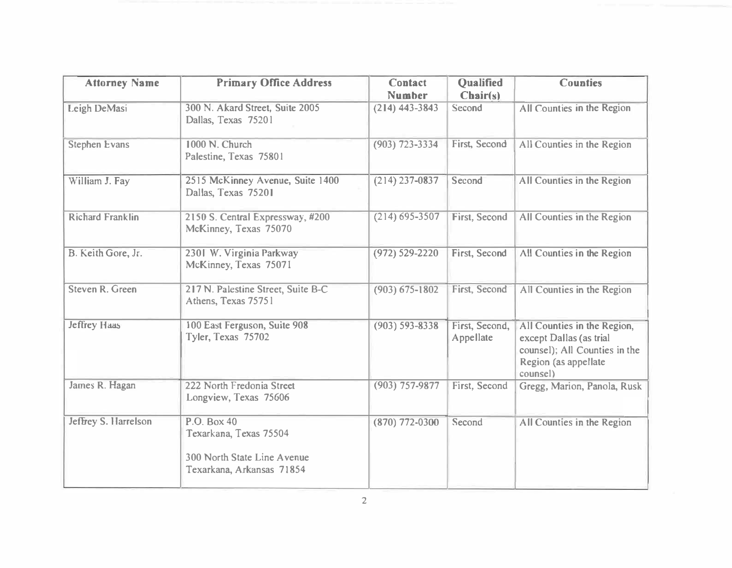| <b>Attorney Name</b>        | <b>Primary Office Address</b>                                                                     | <b>Contact</b><br><b>Number</b> | <b>Qualified</b><br>Chair(s) | <b>Counties</b>                                                                                                             |
|-----------------------------|---------------------------------------------------------------------------------------------------|---------------------------------|------------------------------|-----------------------------------------------------------------------------------------------------------------------------|
| Leigh DeMasi                | 300 N. Akard Street, Suite 2005<br>Dallas, Texas 75201                                            | $(214)$ 443-3843                | Second                       | All Counties in the Region                                                                                                  |
| <b>Stephen Evans</b>        | 1000 N. Church<br>Palestine, Texas 75801                                                          | $(903)$ 723-3334                | First, Second                | All Counties in the Region                                                                                                  |
| William J. Fay              | 2515 McKinney Avenue, Suite 1400<br>Dallas, Texas 75201                                           | $(214)$ 237-0837                | Second                       | All Counties in the Region                                                                                                  |
| <b>Richard Franklin</b>     | 2150 S. Central Expressway, #200<br>McKinney, Texas 75070                                         | $(214) 695 - 3507$              | First, Second                | All Counties in the Region                                                                                                  |
| B. Keith Gore, Jr.          | 2301 W. Virginia Parkway<br>McKinney, Texas 75071                                                 | $(972) 529 - 2220$              | First, Second                | All Counties in the Region                                                                                                  |
| Steven R. Green             | 217 N. Palestine Street, Suite B-C<br>Athens, Texas 75751                                         | $(903) 675 - 1802$              | First, Second                | All Counties in the Region                                                                                                  |
| <b>Jeffrey Haas</b>         | 100 East Ferguson, Suite 908<br>Tyler, Texas 75702                                                | $(903) 593 - 8338$              | First, Second,<br>Appellate  | All Counties in the Region,<br>except Dallas (as trial<br>counsel); All Counties in the<br>Region (as appellate<br>counsel) |
| James R. Hagan              | 222 North Fredonia Street<br>Longview, Texas 75606                                                | $(903)$ 757-9877                | First, Second                | Gregg, Marion, Panola, Rusk                                                                                                 |
| <b>Jeffrey S. Harrelson</b> | P.O. Box 40<br>Texarkana, Texas 75504<br>300 North State Line Avenue<br>Texarkana, Arkansas 71854 | $(870) 772 - 0300$              | Second                       | All Counties in the Region                                                                                                  |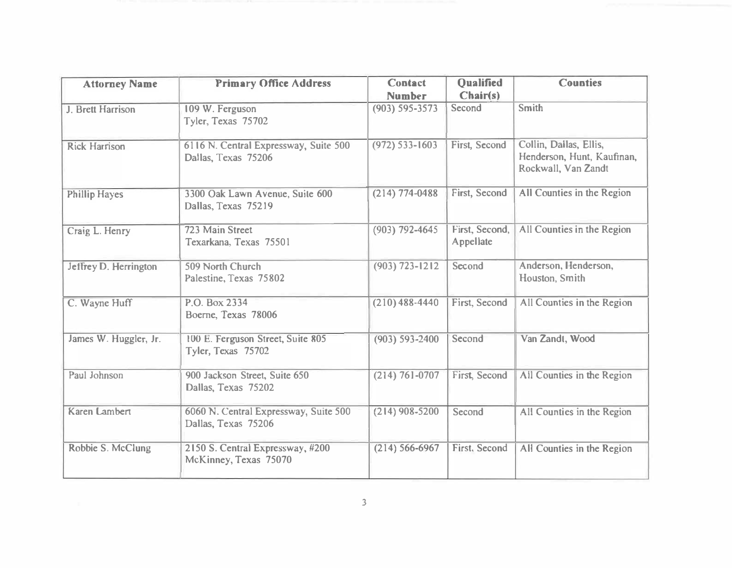| <b>Attorney Name</b>  | <b>Primary Office Address</b>                                | <b>Contact</b><br><b>Number</b> | <b>Oualified</b><br>Chair(s) | <b>Counties</b>                                                             |
|-----------------------|--------------------------------------------------------------|---------------------------------|------------------------------|-----------------------------------------------------------------------------|
| J. Brett Harrison     | 109 W. Ferguson<br>Tyler, Texas 75702                        | $(903) 595 - 3573$              | Second                       | Smith                                                                       |
| <b>Rick Harrison</b>  | 6116 N. Central Expressway, Suite 500<br>Dallas, Texas 75206 | $(972) 533 - 1603$              | First, Second                | Collin, Dallas, Ellis,<br>Henderson, Hunt, Kaufinan,<br>Rockwall, Van Zandt |
| <b>Phillip Hayes</b>  | 3300 Oak Lawn Avenue, Suite 600<br>Dallas, Texas 75219       | $(214) 774 - 0488$              | First, Second                | All Counties in the Region                                                  |
| Craig L. Henry        | 723 Main Street<br>Texarkana, Texas 75501                    | $(903)$ 792-4645                | First, Second,<br>Appellate  | All Counties in the Region                                                  |
| Jeffrey D. Herrington | 509 North Church<br>Palestine, Texas 75802                   | $(903) 723 - 1212$              | Second                       | Anderson, Henderson,<br>Houston, Smith                                      |
| C. Wayne Huff         | P.O. Box 2334<br>Boerne, Texas 78006                         | $(210)$ 488-4440                | First, Second                | All Counties in the Region                                                  |
| James W. Huggler, Jr. | 100 E. Ferguson Street, Suite 805<br>Tyler, Texas 75702      | $(903) 593 - 2400$              | Second                       | Van Zandt, Wood                                                             |
| Paul Johnson          | 900 Jackson Street, Suite 650<br>Dallas, Texas 75202         | $(214) 761 - 0707$              | <b>First, Second</b>         | All Counties in the Region                                                  |
| Karen Lambert         | 6060 N. Central Expressway, Suite 500<br>Dallas, Texas 75206 | $(214)$ 908-5200                | Second                       | All Counties in the Region                                                  |
| Robbie S. McClung     | 2150 S. Central Expressway, #200<br>McKinney, Texas 75070    | $(214) 566 - 6967$              | First, Second                | All Counties in the Region                                                  |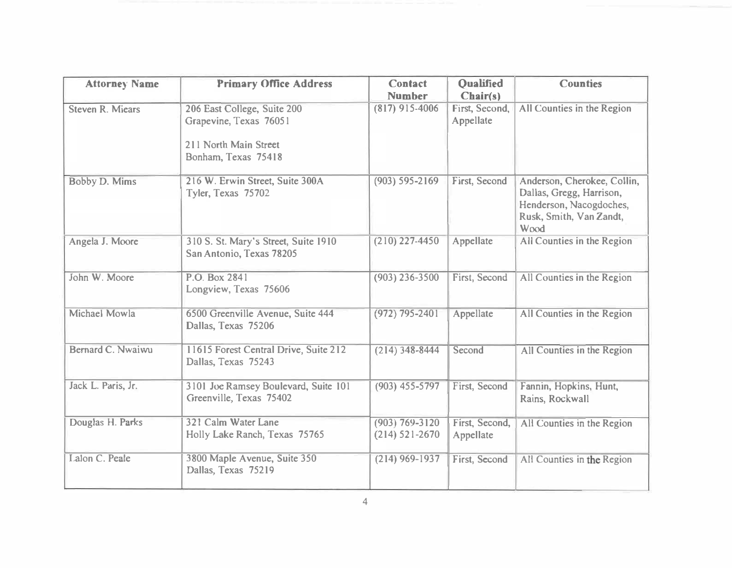| <b>Attorney Name</b>    | <b>Primary Office Address</b>                                                                         | <b>Contact</b>                           | <b>Oualified</b>            | <b>Counties</b>                                                                                                       |
|-------------------------|-------------------------------------------------------------------------------------------------------|------------------------------------------|-----------------------------|-----------------------------------------------------------------------------------------------------------------------|
|                         |                                                                                                       | <b>Number</b>                            | Chair(s)                    |                                                                                                                       |
| <b>Steven R. Miears</b> | 206 East College, Suite 200<br>Grapevine, Texas 76051<br>211 North Main Street<br>Bonham, Texas 75418 | $(817)$ 915-4006                         | First, Second,<br>Appellate | All Counties in the Region                                                                                            |
| Bobby D. Mims           | 216 W. Erwin Street, Suite 300A<br>Tyler, Texas 75702                                                 | $(903) 595 - 2169$                       | First, Second               | Anderson, Cherokee, Collin,<br>Dallas, Gregg, Harrison,<br>Henderson, Nacogdoches,<br>Rusk, Smith, Van Zandt,<br>Wood |
| Angela J. Moore         | 310 S. St. Mary's Street, Suite 1910<br>San Antonio, Texas 78205                                      | $(210)$ 227-4450                         | Appellate                   | All Counties in the Region                                                                                            |
| John W. Moore           | P.O. Box 2841<br>Longview, Texas 75606                                                                | $(903)$ 236-3500                         | First, Second               | All Counties in the Region                                                                                            |
| Michael Mowla           | 6500 Greenville Avenue, Suite 444<br>Dallas, Texas 75206                                              | $(972)$ 795-2401                         | Appellate                   | All Counties in the Region                                                                                            |
| Bernard C. Nwaiwu       | 11615 Forest Central Drive, Suite 212<br>Dallas, Texas 75243                                          | $(214)$ 348-8444                         | Second                      | All Counties in the Region                                                                                            |
| Jack L. Paris, Jr.      | 3101 Joe Ramsey Boulevard, Suite 101<br>Greenville, Texas 75402                                       | $(903)$ 455-5797                         | First, Second               | Fannin, Hopkins, Hunt,<br>Rains, Rockwall                                                                             |
| Douglas H. Parks        | 321 Calm Water Lane<br>Holly Lake Ranch, Texas 75765                                                  | $(903) 769 - 3120$<br>$(214) 521 - 2670$ | First, Second,<br>Appellate | All Counties in the Region                                                                                            |
| Lalon C. Peale          | 3800 Maple Avenue, Suite 350<br>Dallas, Texas 75219                                                   | $(214)$ 969-1937                         | First, Second               | All Counties in the Region                                                                                            |